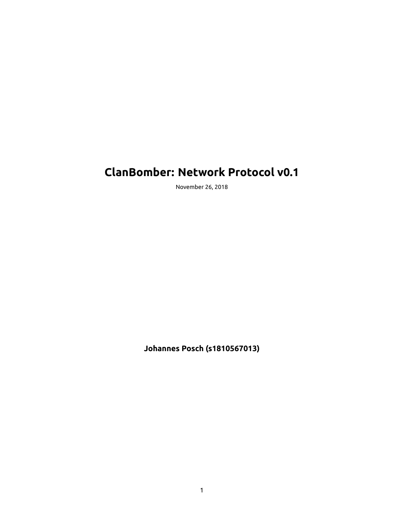# **ClanBomber: Network Protocol v0.1**

November 26, 2018

**Johannes Posch (s1810567013)**

1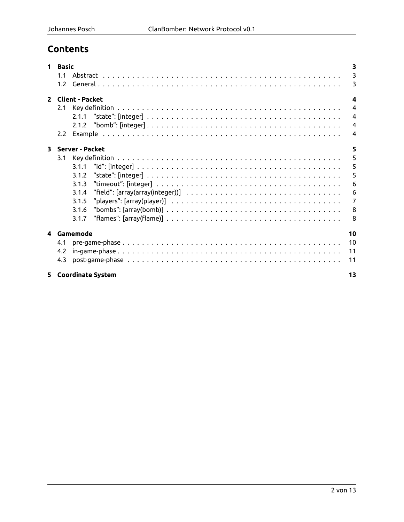## **Contents**

| $\mathbf 1$             | <b>Basic</b>                                                                                                                    |                |  |  |  |
|-------------------------|---------------------------------------------------------------------------------------------------------------------------------|----------------|--|--|--|
|                         | 1.1                                                                                                                             | 3              |  |  |  |
|                         | 1.2 <sub>1</sub>                                                                                                                | 3              |  |  |  |
|                         | 2 Client - Packet                                                                                                               |                |  |  |  |
|                         | 2.1                                                                                                                             | $\overline{4}$ |  |  |  |
|                         |                                                                                                                                 | $\overline{4}$ |  |  |  |
|                         |                                                                                                                                 | $\overline{4}$ |  |  |  |
|                         | $2.2^{\circ}$                                                                                                                   | $\overline{4}$ |  |  |  |
| $\overline{\mathbf{3}}$ | Server - Packet                                                                                                                 | 5              |  |  |  |
|                         | 3.1                                                                                                                             | 5              |  |  |  |
|                         | 3.1.1                                                                                                                           | 5              |  |  |  |
|                         | 3.1.2                                                                                                                           | 5              |  |  |  |
|                         | "timeout": [integer] $\dots\dots\dots\dots\dots\dots\dots\dots\dots\dots\dots\dots\dots\dots\dots\dots\dots\dots$<br>3.1.3      | 6              |  |  |  |
|                         | "field": [array(array(integer))] $\ldots \ldots \ldots \ldots \ldots \ldots \ldots \ldots \ldots \ldots \ldots \ldots$<br>3.1.4 | 6              |  |  |  |
|                         | 3.1.5                                                                                                                           | $\overline{7}$ |  |  |  |
|                         | 3.1.6                                                                                                                           | 8              |  |  |  |
|                         | 3.1.7                                                                                                                           | 8              |  |  |  |
| 4                       | Gamemode                                                                                                                        | 10             |  |  |  |
|                         | 4.1                                                                                                                             | 10             |  |  |  |
|                         | 4.2                                                                                                                             | 11             |  |  |  |
|                         | 4.3                                                                                                                             | 11             |  |  |  |
|                         | 5 Coordinate System<br>13                                                                                                       |                |  |  |  |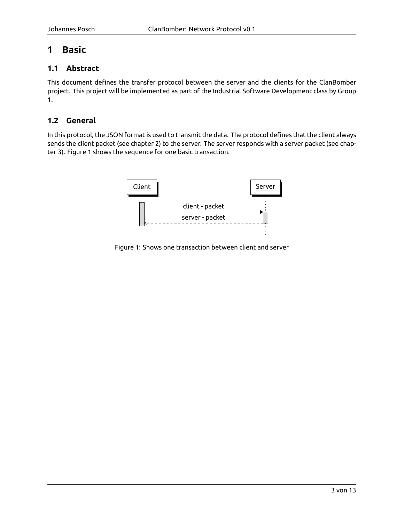## <span id="page-2-0"></span>**1 Basic**

#### <span id="page-2-1"></span>**1.1 Abstract**

This document defines the transfer protocol between the server and the clients for the ClanBomber project. This project will be implemented as part of the Industrial Software Development class by Group 1.

#### <span id="page-2-2"></span>**1.2 General**

In this protocol, the JSON format is used to transmit the data. The protocol defines that the client always sends the client packet (see chapter [2\)](#page-3-0) to the server. The server responds with a server packet (see chapter [3](#page-4-0)). Figure [1](#page-2-3) shows the sequence for one basic transaction.



<span id="page-2-3"></span>Figure 1: Shows one transaction between client and server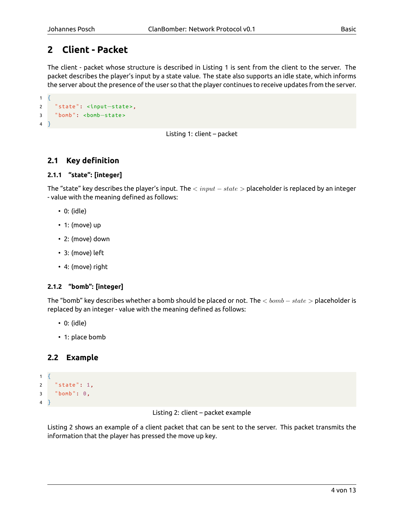## <span id="page-3-0"></span>**2 Client - Packet**

The client - packet whose structure is described in Listing [1](#page-3-5) is sent from the client to the server. The packet describes the player's input by a state value. The state also supports an idle state, which informs the server about the presence of the user so that the player continues to receive updates from the server.

```
1 \t{}2 " state ": <input−state >,
3 "bomb": <bomb-state>
4 }
```
Listing 1: client – packet

#### <span id="page-3-1"></span>**2.1 Key definition**

```
2.1.1 "state": [integer]
```
The "state" key describes the player's input. The *< input − state >* placeholder is replaced by an integer - value with the meaning defined as follows:

- 0: (idle)
- 1: (move) up
- 2: (move) down
- 3: (move) left
- 4: (move) right

#### <span id="page-3-3"></span>**2.1.2 "bomb": [integer]**

The "bomb" key describes whether a bomb should be placed or not. The *< bomb − state >* placeholder is replaced by an integer - value with the meaning defined as follows:

- 0: (idle)
- 1: place bomb

#### <span id="page-3-4"></span>**2.2 Example**

```
1 \quad2 " state ": 1,
3 " bomb ": 0,
\overline{4}
```
Listing 2: client – packet example

Listing [2](#page-3-6) shows an example of a client packet that can be sent to the server. This packet transmits the information that the player has pressed the move up key.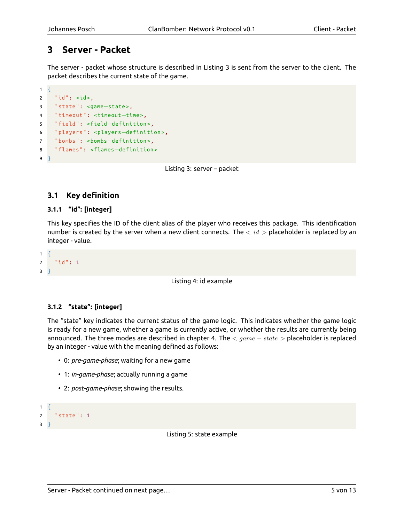## <span id="page-4-0"></span>**3 Server - Packet**

The server - packet whose structure is described in Listing [3](#page-4-4) is sent from the server to the client. The packet describes the current state of the game.

```
1 \quad2 "id": <id >,
3 " state ": <game−state >,
4 " timeout ": <timeout−time >,
5 " field ": <field−definition >,
6 " players ": <players−definition >,
    7 " bombs ": <bombs−definition >,
8 " flames ": <flames−definition >
9 }
```
Listing 3: server – packet

#### <span id="page-4-1"></span>**3.1 Key definition**

#### <span id="page-4-2"></span>**3.1.1 "id": [integer]**

This key specifies the ID of the client alias of the player who receives this package. This identification number is created by the server when a new client connects. The *< id >* placeholder is replaced by an integer - value.

```
1 \quad2 "id": 1
3 }
```
Listing 4: id example

#### <span id="page-4-3"></span>**3.1.2 "state": [integer]**

The "state" key indicates the current status of the game logic. This indicates whether the game logic is ready for a new game, whether a game is currently active, or whether the results are currently being announced. The three modes are described in chapter [4.](#page-9-0) The *< game − state >* placeholder is replaced by an integer - value with the meaning defined as follows:

- 0: *pre-game-phase*; waiting for a new game
- 1: *in-game-phase*; actually running a game
- 2: *post-game-phase*; showing the results.

```
1 \quad2 " state ": 1
3 }
```
Listing 5: state example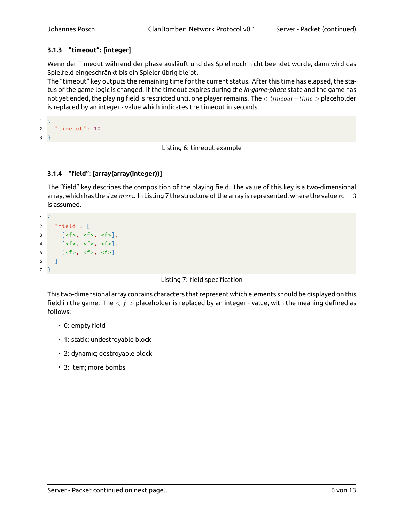#### <span id="page-5-0"></span>**3.1.3 "timeout": [integer]**

Wenn der Timeout während der phase ausläuft und das Spiel noch nicht beendet wurde, dann wird das Spielfeld eingeschränkt bis ein Spieler übrig bleibt.

The "timeout" key outputs the remaining time for the current status. After this time has elapsed, the status of the game logic is changed. If the timeout expires during the *in-game-phase* state and the game has not yet ended, the playing field is restricted until one player remains. The *< timeout−time >* placeholder is replaced by an integer - value which indicates the timeout in seconds.

```
1 \quad {
2 " timeout ": 10
3 }
```
Listing 6: timeout example

#### <span id="page-5-1"></span>**3.1.4 "field": [array(array(integer))]**

The "field" key describes the composition of the playing field. The value of this key is a two-dimensional array, which has the size *mxm*. In Listing [7](#page-5-2) the structure of the array is represented, where the value *m* = 3 is assumed.

```
1 \quad2 " field ": [
3 \left[ <f>; st>1, st>1, st>1 \right],4 [<f>, <f>, <f>],
5 \lceil < f >, \quad < f >, \quad < f > \rceil6 ]
7 }
```
Listing 7: field specification

This two-dimensional array contains characters that represent which elements should be displayed on this field in the game. The *< f >* placeholder is replaced by an integer - value, with the meaning defined as follows:

- 0: empty field
- 1: static; undestroyable block
- 2: dynamic; destroyable block
- 3: item; more bombs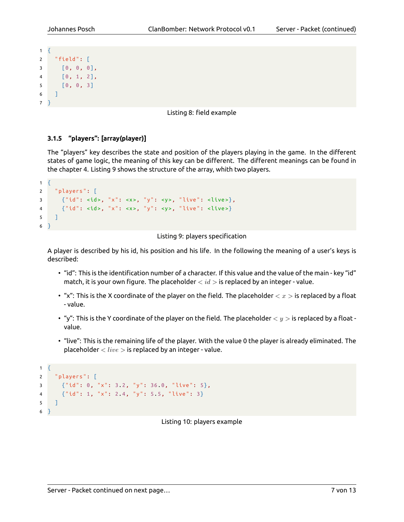```
1 \quad2 " field ": [
3 [0, 0, 0],
4 [0, 1, 2],
5 [0, 0, 3]
6 ]
7 }
```
Listing 8: field example

#### <span id="page-6-0"></span>**3.1.5 "players": [array(player)]**

The "players" key describes the state and position of the players playing in the game. In the different states of game logic, the meaning of this key can be different. The different meanings can be found in the chapter [4](#page-9-0). Listing [9](#page-6-1) shows the structure of the array, whith two players.

```
1 \quad {
2 " players ": [
3 {"id": <id >, "x": <x>, "y": <y>, " live ": <live >},
4 {"id": <id >, "x": <x>, "y": <y>, " live ": <live >}
5 ]
6 }
```


A player is described by his id, his position and his life. In the following the meaning of a user's keys is described:

- "id": This is the identification number of a character. If this value and the value of the main key "id" match, it is your own figure. The placeholder *< id >* is replaced by an integer - value.
- "x": This is the X coordinate of the player on the field. The placeholder *< x >* is replaced by a float - value.
- "y": This is the Y coordinate of the player on the field. The placeholder *< y >* is replaced by a float value.
- "live": This is the remaining life of the player. With the value 0 the player is already eliminated. The placeholder *< live >* is replaced by an integer - value.

```
1 \quad2 " players ": [
3 {"id": 0, "x": 3.2, "y": 36.0, " live ": 5},
4 {"id": 1, "x": 2.4, "y": 5.5, " live ": 3}
5 ]
6 }
```
Listing 10: players example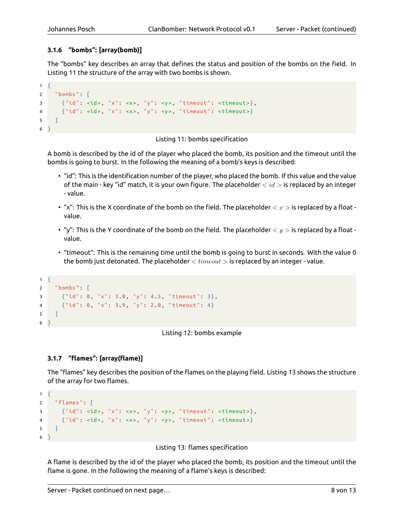#### <span id="page-7-0"></span>**3.1.6 "bombs": [array(bomb)]**

The "bombs" key describes an array that defines the status and position of the bombs on the field. In Listing [11](#page-7-2) the structure of the array with two bombs is shown.

```
1 \quad2 " bombs ": [
3 \{ "id": <id>, "x": <x>, "y": <y>, "timeout": <timeout>},
4 {"id": <id >, "x": <x>, "y": <y>, " timeout ": <timeout >}
5 \mid \cdot \cdot \cdot \cdot6 }
```
#### Listing 11: bombs specification

A bomb is described by the id of the player who placed the bomb, its position and the timeout until the bombs is going to burst. In the following the meaning of a bomb's keys is described:

- "id": This is the identification number of the player, who placed the bomb. If this value and the value of the main - key "id" match, it is your own figure. The placeholder *< id >* is replaced by an integer - value.
- "x": This is the X coordinate of the bomb on the field. The placeholder *< x >* is replaced by a float value.
- "y": This is the Y coordinate of the bomb on the field. The placeholder *< y >* is replaced by a float value.
- "timeout": This is the remaining time until the bomb is going to burst in seconds. With the value 0 the bomb just detonated. The placeholder *< timeout >* is replaced by an integer - value.

```
1 \t{}2 "bombs": [
3 {"id": 0, "x": 3.0, "y": 4.5, " timeout ": 3},
4 {"id": 0, "x": 3.9, "y": 2.0, " timeout ": 4}
5 \mid \cdot \cdot \cdot \cdot6 }
```
Listing 12: bombs example

#### <span id="page-7-1"></span>**3.1.7 "flames": [array(flame)]**

The "flames" key describes the position of the flames on the playing field. Listing [13](#page-7-3) shows the structure of the array for two flames.

```
1 \quad \{2 " flames ": [
3 {"id": <id>, "x": <x>, "y": <y>, "timeout": <timeout>},
4 {"id": <id >, "x": <x>, "y": <y>, " timeout ": <timeout >}
5 \mid \cdot \cdot \cdot \cdot6 }
```
Listing 13: flames specification

A flame is described by the id of the player who placed the bomb, its position and the timeout until the flame is gone. In the following the meaning of a flame's keys is described: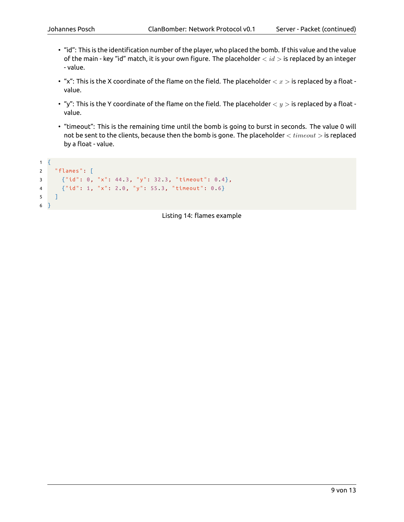- "id": This is the identification number of the player, who placed the bomb. If this value and the value of the main - key "id" match, it is your own figure. The placeholder *< id >* is replaced by an integer - value.
- "x": This is the X coordinate of the flame on the field. The placeholder *< x >* is replaced by a float value.
- "y": This is the Y coordinate of the flame on the field. The placeholder  $$  is replaced by a float value.
- "timeout": This is the remaining time until the bomb is going to burst in seconds. The value 0 will not be sent to the clients, because then the bomb is gone. The placeholder *< timeout >* is replaced by a float - value.

```
1 \quad2 " flames ": [
3 {"id": 0, "x": 44.3, "y": 32.3, " timeout ": 0.4},
4 {"id": 1, "x": 2.0, "y": 55.3, " timeout ": 0.6}
5 \quad 16 }
```
Listing 14: flames example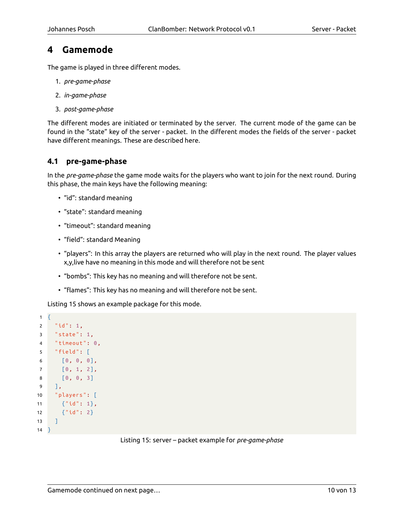### <span id="page-9-0"></span>**4 Gamemode**

The game is played in three different modes.

- 1. *pre-game-phase*
- 2. *in-game-phase*
- 3. *post-game-phase*

The different modes are initiated or terminated by the server. The current mode of the game can be found in the "state" key of the server - packet. In the different modes the fields of the server - packet have different meanings. These are described here.

#### <span id="page-9-1"></span>**4.1 pre-game-phase**

In the *pre-game-phase* the game mode waits for the players who want to join for the next round. During this phase, the main keys have the following meaning:

- "id": standard meaning
- "state": standard meaning
- "timeout": standard meaning
- "field": standard Meaning
- "players": In this array the players are returned who will play in the next round. The player values x,y,live have no meaning in this mode and will therefore not be sent
- "bombs": This key has no meaning and will therefore not be sent.
- "flames": This key has no meaning and will therefore not be sent.

<span id="page-9-2"></span>Listing [15](#page-9-2) shows an example package for this mode.

```
1 \quad2 "id": 1,
3 " state ": 1,
4 " timeout ": 0,
5 " field ": [
6 [0, 0, 0],
7 [0, 1, 2],
8 [0, 0, 3]
9 ],
10 " players ": [
11 {"id": 1},
12 {"id": 2}
13 \mid \cdot \cdot \cdot \cdot14 }
```
Listing 15: server – packet example for *pre-game-phase*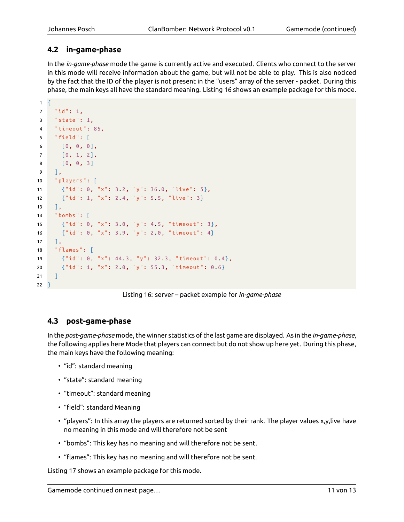#### <span id="page-10-0"></span>**4.2 in-game-phase**

In the *in-game-phase* mode the game is currently active and executed. Clients who connect to the server in this mode will receive information about the game, but will not be able to play. This is also noticed by the fact that the ID of the player is not present in the "users" array of the server - packet. During this phase, the main keys all have the standard meaning. Listing [16](#page-10-2) shows an example package for this mode.

```
1 \quad2 "id": 1,
3 " state ": 1,
4 " timeout ": 85,
5 " field ": [
6 [0, 0, 0],
7 \t\t [0, 1, 2],8 [0, 0, 3]
9 ],
10 " players ": [
11 {"id": 0, "x": 3.2, "y": 36.0, " live ": 5},
12 {"id": 1, "x": 2.4, "y": 5.5, " live ": 3}
13 ],
14 " bombs ": [
15 {"id": 0, "x": 3.0, "y": 4.5, " timeout ": 3},
16 {"id": 0, "x": 3.9, "y": 2.0, " timeout ": 4}
17 \quad \boxed{}18 " flames ": [
19 {"id": 0, "x": 44.3, "y": 32.3, " timeout ": 0.4},
20 {"id": 1, "x": 2.0, "y": 55.3, " timeout ": 0.6}
21 ]
22 }
```
Listing 16: server – packet example for *in-game-phase*

#### <span id="page-10-1"></span>**4.3 post-game-phase**

In the *post-game-phase* mode, the winner statistics of the last game are displayed. As in the *in-game-phase*, the following applies here Mode that players can connect but do not show up here yet. During this phase, the main keys have the following meaning:

- "id": standard meaning
- "state": standard meaning
- "timeout": standard meaning
- "field": standard Meaning
- "players": In this array the players are returned sorted by their rank. The player values x,y,live have no meaning in this mode and will therefore not be sent
- "bombs": This key has no meaning and will therefore not be sent.
- "flames": This key has no meaning and will therefore not be sent.

Listing [17](#page-11-0) shows an example package for this mode.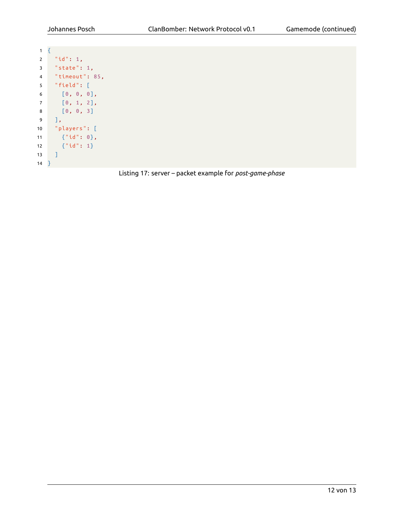<span id="page-11-0"></span>

| 1              | Ł |                                                   |
|----------------|---|---------------------------------------------------|
| 2              |   | "id": 1,                                          |
| 3              |   | "state": $1,$                                     |
| 4              |   | "timeout": 85,                                    |
| 5              |   | "field": [                                        |
| 6              |   | [0, 0, 0],                                        |
| $\overline{7}$ |   | $\left[\begin{matrix}0\\1\\2\end{matrix}\right],$ |
| 8              |   | $\begin{bmatrix} 0, 0, 3 \end{bmatrix}$           |
| 9              |   | 1,                                                |
| 10             |   | "players": [                                      |
| 11             |   | ${ "id": 0},$                                     |
| 12             |   | ${T"id": 1}$                                      |
| 13             |   | 1                                                 |
| 14             |   |                                                   |

Listing 17: server – packet example for *post-game-phase*